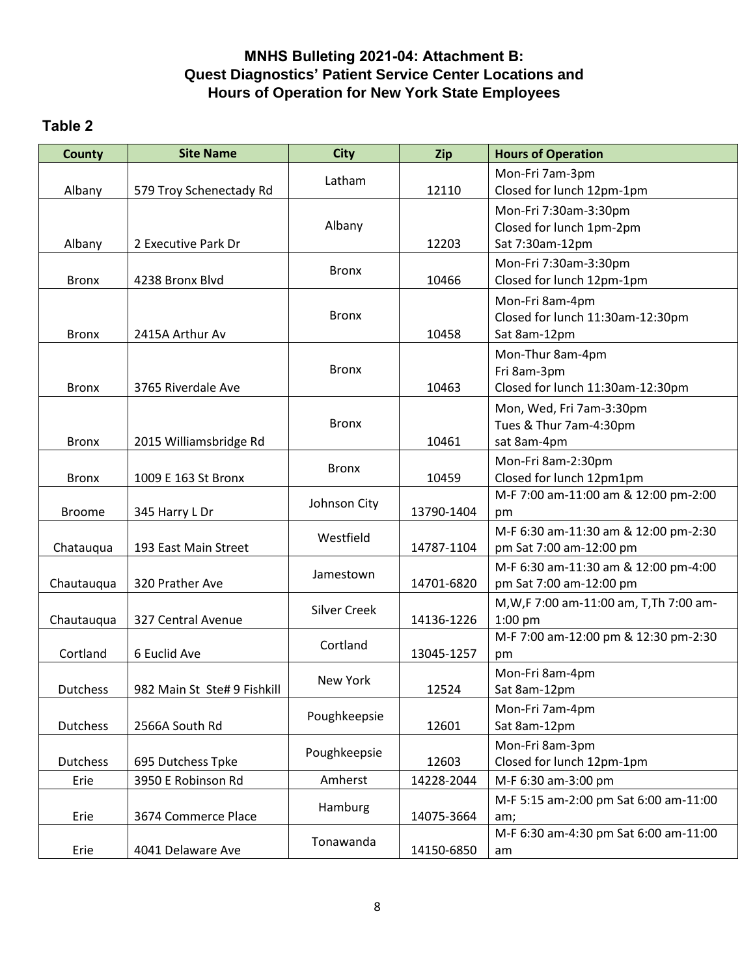## **MNHS Bulleting 2021-04: Attachment B: Quest Diagnostics' Patient Service Center Locations and Hours of Operation for New York State Employees**

## **Table 2**

| <b>County</b>   | <b>Site Name</b>            | <b>City</b>         | Zip        | <b>Hours of Operation</b>                                            |
|-----------------|-----------------------------|---------------------|------------|----------------------------------------------------------------------|
| Albany          | 579 Troy Schenectady Rd     | Latham              | 12110      | Mon-Fri 7am-3pm<br>Closed for lunch 12pm-1pm                         |
| Albany          | 2 Executive Park Dr         | Albany              | 12203      | Mon-Fri 7:30am-3:30pm<br>Closed for lunch 1pm-2pm<br>Sat 7:30am-12pm |
| <b>Bronx</b>    | 4238 Bronx Blvd             | <b>Bronx</b>        | 10466      | Mon-Fri 7:30am-3:30pm<br>Closed for lunch 12pm-1pm                   |
| <b>Bronx</b>    | 2415A Arthur Av             | <b>Bronx</b>        | 10458      | Mon-Fri 8am-4pm<br>Closed for lunch 11:30am-12:30pm<br>Sat 8am-12pm  |
| <b>Bronx</b>    | 3765 Riverdale Ave          | <b>Bronx</b>        | 10463      | Mon-Thur 8am-4pm<br>Fri 8am-3pm<br>Closed for lunch 11:30am-12:30pm  |
| <b>Bronx</b>    | 2015 Williamsbridge Rd      | <b>Bronx</b>        | 10461      | Mon, Wed, Fri 7am-3:30pm<br>Tues & Thur 7am-4:30pm<br>sat 8am-4pm    |
| <b>Bronx</b>    | 1009 E 163 St Bronx         | <b>Bronx</b>        | 10459      | Mon-Fri 8am-2:30pm<br>Closed for lunch 12pm1pm                       |
| <b>Broome</b>   | 345 Harry L Dr              | Johnson City        | 13790-1404 | M-F 7:00 am-11:00 am & 12:00 pm-2:00<br>pm                           |
| Chatauqua       | 193 East Main Street        | Westfield           | 14787-1104 | M-F 6:30 am-11:30 am & 12:00 pm-2:30<br>pm Sat 7:00 am-12:00 pm      |
| Chautauqua      | 320 Prather Ave             | Jamestown           | 14701-6820 | M-F 6:30 am-11:30 am & 12:00 pm-4:00<br>pm Sat 7:00 am-12:00 pm      |
| Chautauqua      | 327 Central Avenue          | <b>Silver Creek</b> | 14136-1226 | M, W, F 7:00 am-11:00 am, T, Th 7:00 am-<br>1:00 pm                  |
| Cortland        | 6 Euclid Ave                | Cortland            | 13045-1257 | M-F 7:00 am-12:00 pm & 12:30 pm-2:30<br>pm                           |
| Dutchess        | 982 Main St Ste# 9 Fishkill | New York            | 12524      | Mon-Fri 8am-4pm<br>Sat 8am-12pm                                      |
| <b>Dutchess</b> | 2566A South Rd              | Poughkeepsie        | 12601      | Mon-Fri 7am-4pm<br>Sat 8am-12pm                                      |
| <b>Dutchess</b> | 695 Dutchess Tpke           | Poughkeepsie        | 12603      | Mon-Fri 8am-3pm<br>Closed for lunch 12pm-1pm                         |
| Erie            | 3950 E Robinson Rd          | Amherst             | 14228-2044 | M-F 6:30 am-3:00 pm                                                  |
| Erie            | 3674 Commerce Place         | Hamburg             | 14075-3664 | M-F 5:15 am-2:00 pm Sat 6:00 am-11:00<br>am;                         |
| Erie            | 4041 Delaware Ave           | Tonawanda           | 14150-6850 | M-F 6:30 am-4:30 pm Sat 6:00 am-11:00<br>am                          |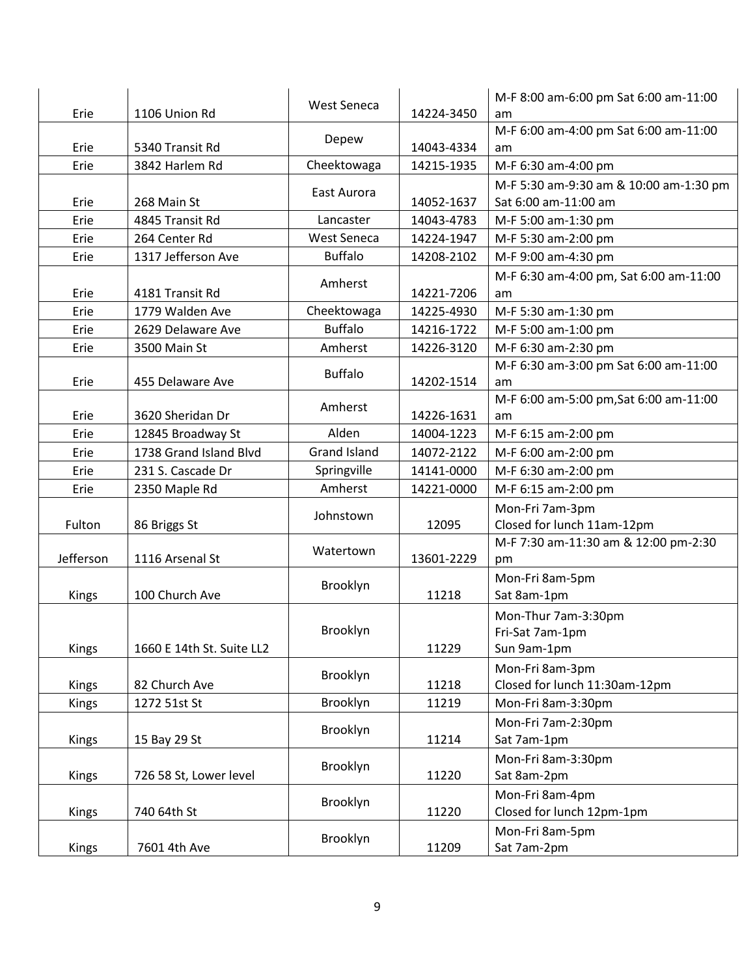| Erie         | 1106 Union Rd             | <b>West Seneca</b>  | 14224-3450 | M-F 8:00 am-6:00 pm Sat 6:00 am-11:00<br>am |
|--------------|---------------------------|---------------------|------------|---------------------------------------------|
|              |                           |                     |            | M-F 6:00 am-4:00 pm Sat 6:00 am-11:00       |
| Erie         | 5340 Transit Rd           | Depew               | 14043-4334 | am                                          |
| Erie         | 3842 Harlem Rd            | Cheektowaga         | 14215-1935 | M-F 6:30 am-4:00 pm                         |
|              |                           | East Aurora         |            | M-F 5:30 am-9:30 am & 10:00 am-1:30 pm      |
| Erie         | 268 Main St               |                     | 14052-1637 | Sat 6:00 am-11:00 am                        |
| Erie         | 4845 Transit Rd           | Lancaster           | 14043-4783 | M-F 5:00 am-1:30 pm                         |
| Erie         | 264 Center Rd             | <b>West Seneca</b>  | 14224-1947 | M-F 5:30 am-2:00 pm                         |
| Erie         | 1317 Jefferson Ave        | <b>Buffalo</b>      | 14208-2102 | M-F 9:00 am-4:30 pm                         |
|              |                           | Amherst             |            | M-F 6:30 am-4:00 pm, Sat 6:00 am-11:00      |
| Erie         | 4181 Transit Rd           |                     | 14221-7206 | am                                          |
| Erie         | 1779 Walden Ave           | Cheektowaga         | 14225-4930 | M-F 5:30 am-1:30 pm                         |
| Erie         | 2629 Delaware Ave         | <b>Buffalo</b>      | 14216-1722 | M-F 5:00 am-1:00 pm                         |
| Erie         | 3500 Main St              | Amherst             | 14226-3120 | M-F 6:30 am-2:30 pm                         |
|              |                           | <b>Buffalo</b>      |            | M-F 6:30 am-3:00 pm Sat 6:00 am-11:00       |
| Erie         | 455 Delaware Ave          |                     | 14202-1514 | am                                          |
|              |                           | Amherst             |            | M-F 6:00 am-5:00 pm, Sat 6:00 am-11:00      |
| Erie         | 3620 Sheridan Dr          |                     | 14226-1631 | am                                          |
| Erie         | 12845 Broadway St         | Alden               | 14004-1223 | M-F 6:15 am-2:00 pm                         |
| Erie         | 1738 Grand Island Blvd    | <b>Grand Island</b> | 14072-2122 | M-F 6:00 am-2:00 pm                         |
| Erie         | 231 S. Cascade Dr         | Springville         | 14141-0000 | M-F 6:30 am-2:00 pm                         |
| Erie         | 2350 Maple Rd             | Amherst             | 14221-0000 | M-F 6:15 am-2:00 pm                         |
|              |                           | Johnstown           |            | Mon-Fri 7am-3pm                             |
| Fulton       | 86 Briggs St              |                     | 12095      | Closed for lunch 11am-12pm                  |
|              |                           | Watertown           |            | M-F 7:30 am-11:30 am & 12:00 pm-2:30        |
| Jefferson    | 1116 Arsenal St           |                     | 13601-2229 | pm                                          |
|              |                           | Brooklyn            |            | Mon-Fri 8am-5pm                             |
| Kings        | 100 Church Ave            |                     | 11218      | Sat 8am-1pm                                 |
|              |                           |                     |            | Mon-Thur 7am-3:30pm                         |
|              |                           | Brooklyn            |            | Fri-Sat 7am-1pm                             |
| Kings        | 1660 E 14th St. Suite LL2 |                     | 11229      | Sun 9am-1pm                                 |
|              |                           | Brooklyn            |            | Mon-Fri 8am-3pm                             |
| <b>Kings</b> | 82 Church Ave             |                     | 11218      | Closed for lunch 11:30am-12pm               |
| <b>Kings</b> | 1272 51st St              | Brooklyn            | 11219      | Mon-Fri 8am-3:30pm                          |
|              |                           | Brooklyn            |            | Mon-Fri 7am-2:30pm                          |
| Kings        | 15 Bay 29 St              |                     | 11214      | Sat 7am-1pm                                 |
|              |                           | Brooklyn            |            | Mon-Fri 8am-3:30pm                          |
| Kings        | 726 58 St, Lower level    |                     | 11220      | Sat 8am-2pm                                 |
|              |                           | Brooklyn            |            | Mon-Fri 8am-4pm                             |
| Kings        | 740 64th St               |                     | 11220      | Closed for lunch 12pm-1pm                   |
|              |                           | Brooklyn            |            | Mon-Fri 8am-5pm                             |
| Kings        | 7601 4th Ave              |                     | 11209      | Sat 7am-2pm                                 |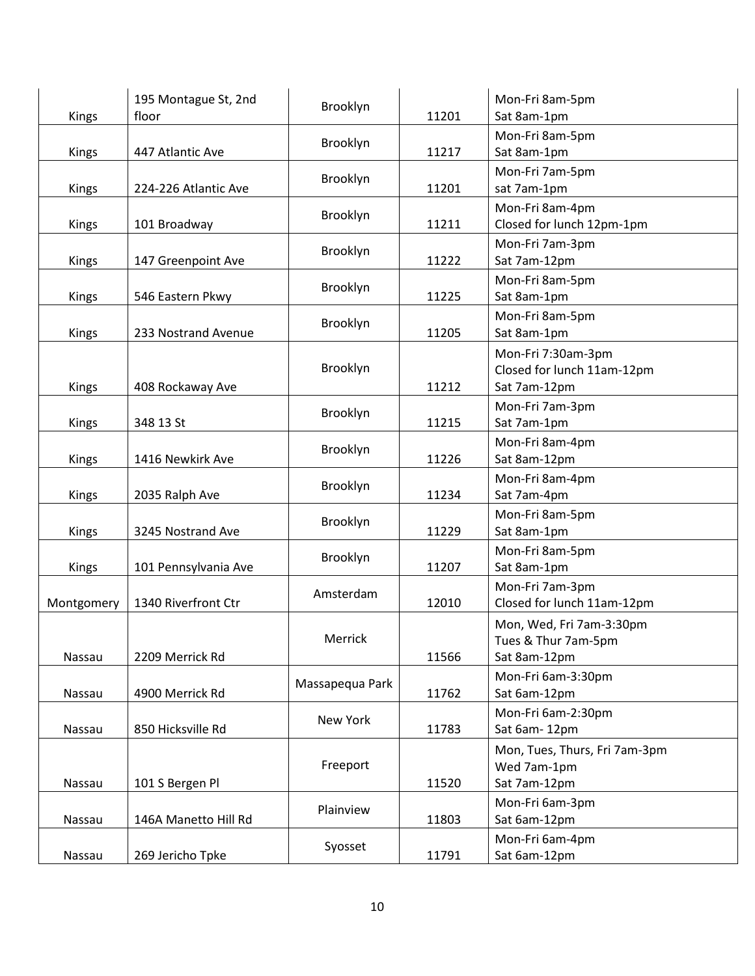| Kings      | 195 Montague St, 2nd<br>floor | Brooklyn        | 11201 | Mon-Fri 8am-5pm<br>Sat 8am-1pm                                   |
|------------|-------------------------------|-----------------|-------|------------------------------------------------------------------|
| Kings      | 447 Atlantic Ave              | Brooklyn        | 11217 | Mon-Fri 8am-5pm<br>Sat 8am-1pm                                   |
| Kings      | 224-226 Atlantic Ave          | Brooklyn        | 11201 | Mon-Fri 7am-5pm<br>sat 7am-1pm                                   |
| Kings      | 101 Broadway                  | Brooklyn        | 11211 | Mon-Fri 8am-4pm<br>Closed for lunch 12pm-1pm                     |
| Kings      | 147 Greenpoint Ave            | Brooklyn        | 11222 | Mon-Fri 7am-3pm<br>Sat 7am-12pm                                  |
| Kings      | 546 Eastern Pkwy              | Brooklyn        | 11225 | Mon-Fri 8am-5pm<br>Sat 8am-1pm                                   |
| Kings      | 233 Nostrand Avenue           | Brooklyn        | 11205 | Mon-Fri 8am-5pm<br>Sat 8am-1pm                                   |
| Kings      | 408 Rockaway Ave              | Brooklyn        | 11212 | Mon-Fri 7:30am-3pm<br>Closed for lunch 11am-12pm<br>Sat 7am-12pm |
| Kings      | 348 13 St                     | Brooklyn        | 11215 | Mon-Fri 7am-3pm<br>Sat 7am-1pm                                   |
| Kings      | 1416 Newkirk Ave              | Brooklyn        | 11226 | Mon-Fri 8am-4pm<br>Sat 8am-12pm                                  |
| Kings      | 2035 Ralph Ave                | Brooklyn        | 11234 | Mon-Fri 8am-4pm<br>Sat 7am-4pm                                   |
| Kings      | 3245 Nostrand Ave             | Brooklyn        | 11229 | Mon-Fri 8am-5pm<br>Sat 8am-1pm                                   |
| Kings      | 101 Pennsylvania Ave          | Brooklyn        | 11207 | Mon-Fri 8am-5pm<br>Sat 8am-1pm                                   |
| Montgomery | 1340 Riverfront Ctr           | Amsterdam       | 12010 | Mon-Fri 7am-3pm<br>Closed for lunch 11am-12pm                    |
| Nassau     | 2209 Merrick Rd               | Merrick         | 11566 | Mon, Wed, Fri 7am-3:30pm<br>Tues & Thur 7am-5pm<br>Sat 8am-12pm  |
| Nassau     | 4900 Merrick Rd               | Massapequa Park | 11762 | Mon-Fri 6am-3:30pm<br>Sat 6am-12pm                               |
| Nassau     | 850 Hicksville Rd             | New York        | 11783 | Mon-Fri 6am-2:30pm<br>Sat 6am-12pm                               |
| Nassau     | 101 S Bergen Pl               | Freeport        | 11520 | Mon, Tues, Thurs, Fri 7am-3pm<br>Wed 7am-1pm<br>Sat 7am-12pm     |
| Nassau     | 146A Manetto Hill Rd          | Plainview       | 11803 | Mon-Fri 6am-3pm<br>Sat 6am-12pm                                  |
| Nassau     | 269 Jericho Tpke              | Syosset         | 11791 | Mon-Fri 6am-4pm<br>Sat 6am-12pm                                  |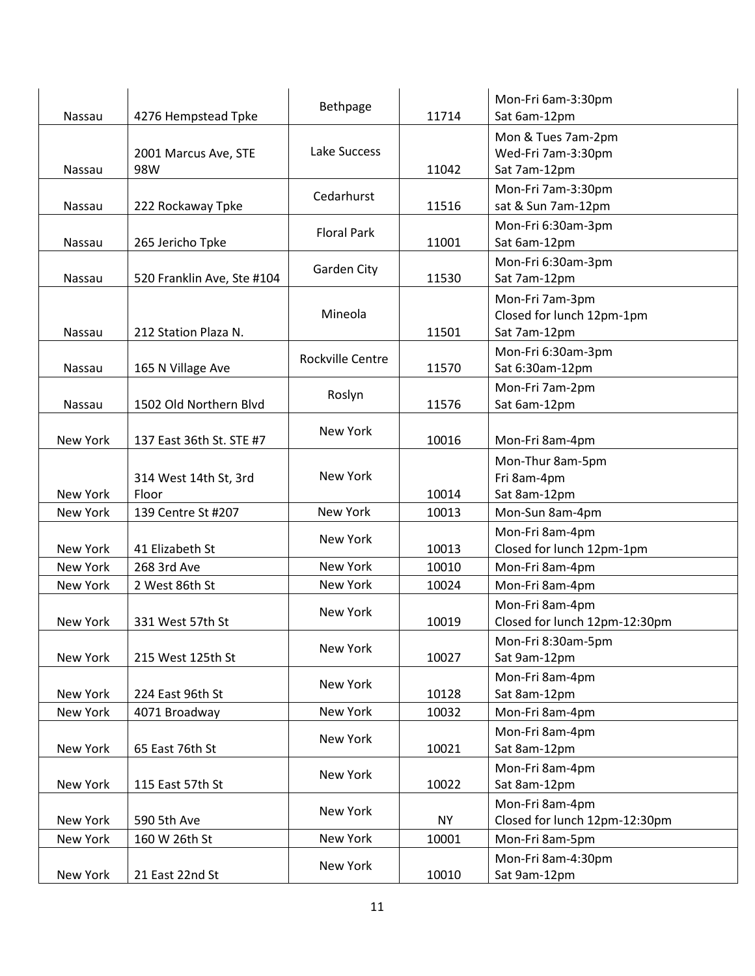| Nassau          | 4276 Hempstead Tpke            | Bethpage           | 11714     | Mon-Fri 6am-3:30pm<br>Sat 6am-12pm                           |
|-----------------|--------------------------------|--------------------|-----------|--------------------------------------------------------------|
| <b>Nassau</b>   | 2001 Marcus Ave, STE<br>98W    | Lake Success       | 11042     | Mon & Tues 7am-2pm<br>Wed-Fri 7am-3:30pm<br>Sat 7am-12pm     |
| Nassau          | 222 Rockaway Tpke              | Cedarhurst         | 11516     | Mon-Fri 7am-3:30pm<br>sat & Sun 7am-12pm                     |
| Nassau          | 265 Jericho Tpke               | <b>Floral Park</b> | 11001     | Mon-Fri 6:30am-3pm<br>Sat 6am-12pm                           |
| Nassau          | 520 Franklin Ave, Ste #104     | Garden City        | 11530     | Mon-Fri 6:30am-3pm<br>Sat 7am-12pm                           |
| <b>Nassau</b>   | 212 Station Plaza N.           | Mineola            | 11501     | Mon-Fri 7am-3pm<br>Closed for lunch 12pm-1pm<br>Sat 7am-12pm |
| Nassau          | 165 N Village Ave              | Rockville Centre   | 11570     | Mon-Fri 6:30am-3pm<br>Sat 6:30am-12pm                        |
| Nassau          | 1502 Old Northern Blvd         | Roslyn             | 11576     | Mon-Fri 7am-2pm<br>Sat 6am-12pm                              |
| New York        | 137 East 36th St. STE #7       | New York           | 10016     | Mon-Fri 8am-4pm                                              |
| New York        | 314 West 14th St, 3rd<br>Floor | New York           | 10014     | Mon-Thur 8am-5pm<br>Fri 8am-4pm<br>Sat 8am-12pm              |
| New York        | 139 Centre St #207             | New York           | 10013     | Mon-Sun 8am-4pm                                              |
| <b>New York</b> | 41 Elizabeth St                | New York           | 10013     | Mon-Fri 8am-4pm<br>Closed for lunch 12pm-1pm                 |
| New York        | 268 3rd Ave                    | New York           | 10010     | Mon-Fri 8am-4pm                                              |
| New York        | 2 West 86th St                 | New York           | 10024     | Mon-Fri 8am-4pm                                              |
| New York        | 331 West 57th St               | New York           | 10019     | Mon-Fri 8am-4pm<br>Closed for lunch 12pm-12:30pm             |
| New York        | 215 West 125th St              | New York           | 10027     | Mon-Fri 8:30am-5pm<br>Sat 9am-12pm                           |
| New York        | 224 East 96th St               | New York           | 10128     | Mon-Fri 8am-4pm<br>Sat 8am-12pm                              |
| New York        | 4071 Broadway                  | New York           | 10032     | Mon-Fri 8am-4pm                                              |
| New York        | 65 East 76th St                | New York           | 10021     | Mon-Fri 8am-4pm<br>Sat 8am-12pm                              |
| New York        | 115 East 57th St               | New York           | 10022     | Mon-Fri 8am-4pm<br>Sat 8am-12pm                              |
| New York        | 590 5th Ave                    | New York           | <b>NY</b> | Mon-Fri 8am-4pm<br>Closed for lunch 12pm-12:30pm             |
| New York        | 160 W 26th St                  | New York           | 10001     | Mon-Fri 8am-5pm                                              |
| New York        | 21 East 22nd St                | New York           | 10010     | Mon-Fri 8am-4:30pm<br>Sat 9am-12pm                           |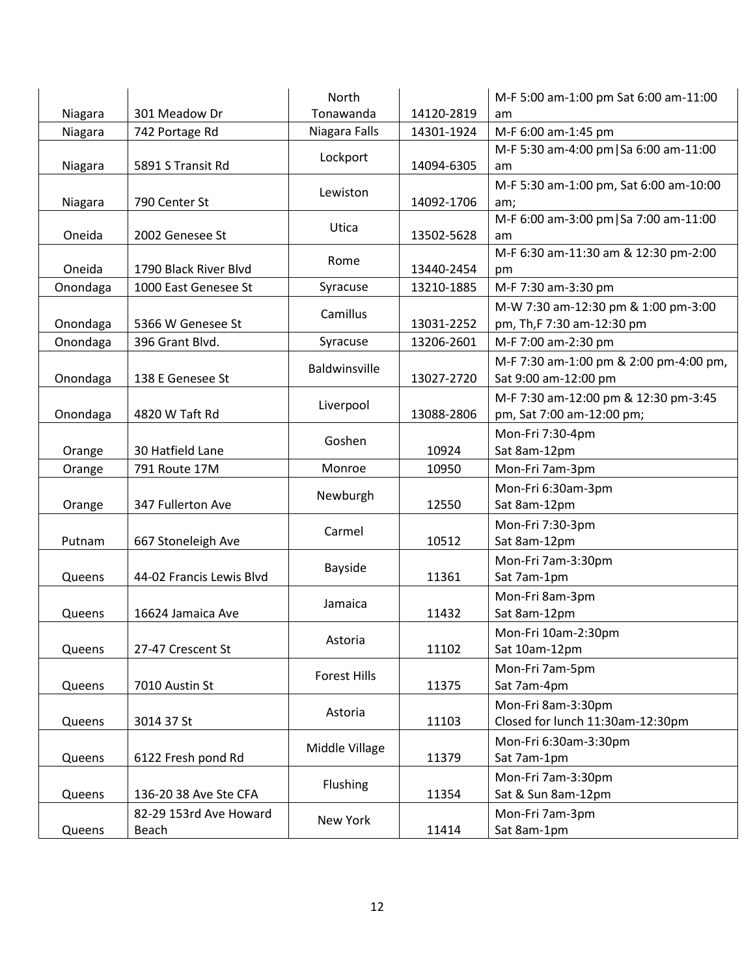|          |                                 | North          |            | M-F 5:00 am-1:00 pm Sat 6:00 am-11:00                             |
|----------|---------------------------------|----------------|------------|-------------------------------------------------------------------|
| Niagara  | 301 Meadow Dr                   | Tonawanda      | 14120-2819 | am                                                                |
| Niagara  | 742 Portage Rd                  | Niagara Falls  | 14301-1924 | M-F 6:00 am-1:45 pm                                               |
| Niagara  | 5891 S Transit Rd               | Lockport       | 14094-6305 | M-F 5:30 am-4:00 pm   Sa 6:00 am-11:00<br>am                      |
| Niagara  | 790 Center St                   | Lewiston       | 14092-1706 | M-F 5:30 am-1:00 pm, Sat 6:00 am-10:00<br>am;                     |
| Oneida   | 2002 Genesee St                 | Utica          | 13502-5628 | M-F 6:00 am-3:00 pm   Sa 7:00 am-11:00<br>am                      |
| Oneida   | 1790 Black River Blvd           | Rome           | 13440-2454 | M-F 6:30 am-11:30 am & 12:30 pm-2:00<br>pm                        |
| Onondaga | 1000 East Genesee St            | Syracuse       | 13210-1885 | M-F 7:30 am-3:30 pm                                               |
| Onondaga | 5366 W Genesee St               | Camillus       | 13031-2252 | M-W 7:30 am-12:30 pm & 1:00 pm-3:00<br>pm, Th, F 7:30 am-12:30 pm |
| Onondaga | 396 Grant Blvd.                 | Syracuse       | 13206-2601 | M-F 7:00 am-2:30 pm                                               |
| Onondaga | 138 E Genesee St                | Baldwinsville  | 13027-2720 | M-F 7:30 am-1:00 pm & 2:00 pm-4:00 pm,<br>Sat 9:00 am-12:00 pm    |
| Onondaga | 4820 W Taft Rd                  | Liverpool      | 13088-2806 | M-F 7:30 am-12:00 pm & 12:30 pm-3:45<br>pm, Sat 7:00 am-12:00 pm; |
| Orange   | 30 Hatfield Lane                | Goshen         | 10924      | Mon-Fri 7:30-4pm<br>Sat 8am-12pm                                  |
| Orange   | 791 Route 17M                   | Monroe         | 10950      | Mon-Fri 7am-3pm                                                   |
| Orange   | 347 Fullerton Ave               | Newburgh       | 12550      | Mon-Fri 6:30am-3pm<br>Sat 8am-12pm                                |
| Putnam   | 667 Stoneleigh Ave              | Carmel         | 10512      | Mon-Fri 7:30-3pm<br>Sat 8am-12pm                                  |
| Queens   | 44-02 Francis Lewis Blvd        | Bayside        | 11361      | Mon-Fri 7am-3:30pm<br>Sat 7am-1pm                                 |
| Queens   | 16624 Jamaica Ave               | Jamaica        | 11432      | Mon-Fri 8am-3pm<br>Sat 8am-12pm                                   |
| Queens   | 27-47 Crescent St               | Astoria        | 11102      | Mon-Fri 10am-2:30pm<br>Sat 10am-12pm                              |
| Queens   | 7010 Austin St                  | Forest Hills   | 11375      | Mon-Fri 7am-5pm<br>Sat 7am-4pm                                    |
| Queens   | 3014 37 St                      | Astoria        | 11103      | Mon-Fri 8am-3:30pm<br>Closed for lunch 11:30am-12:30pm            |
| Queens   | 6122 Fresh pond Rd              | Middle Village | 11379      | Mon-Fri 6:30am-3:30pm<br>Sat 7am-1pm                              |
| Queens   | 136-20 38 Ave Ste CFA           | Flushing       | 11354      | Mon-Fri 7am-3:30pm<br>Sat & Sun 8am-12pm                          |
| Queens   | 82-29 153rd Ave Howard<br>Beach | New York       | 11414      | Mon-Fri 7am-3pm<br>Sat 8am-1pm                                    |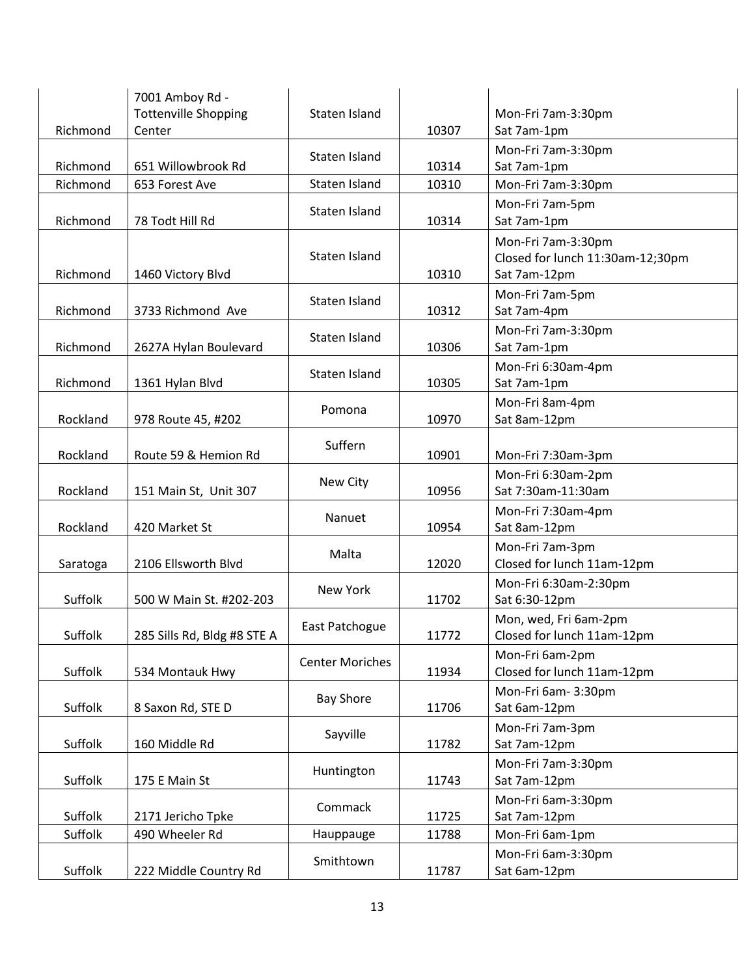| Richmond | 7001 Amboy Rd -<br><b>Tottenville Shopping</b><br>Center | Staten Island          | 10307 | Mon-Fri 7am-3:30pm<br>Sat 7am-1pm                                      |
|----------|----------------------------------------------------------|------------------------|-------|------------------------------------------------------------------------|
| Richmond | 651 Willowbrook Rd                                       | Staten Island          | 10314 | Mon-Fri 7am-3:30pm<br>Sat 7am-1pm                                      |
| Richmond | 653 Forest Ave                                           | Staten Island          | 10310 | Mon-Fri 7am-3:30pm                                                     |
| Richmond | 78 Todt Hill Rd                                          | Staten Island          | 10314 | Mon-Fri 7am-5pm<br>Sat 7am-1pm                                         |
| Richmond | 1460 Victory Blvd                                        | Staten Island          | 10310 | Mon-Fri 7am-3:30pm<br>Closed for lunch 11:30am-12;30pm<br>Sat 7am-12pm |
| Richmond | 3733 Richmond Ave                                        | Staten Island          | 10312 | Mon-Fri 7am-5pm<br>Sat 7am-4pm                                         |
| Richmond | 2627A Hylan Boulevard                                    | Staten Island          | 10306 | Mon-Fri 7am-3:30pm<br>Sat 7am-1pm                                      |
| Richmond | 1361 Hylan Blvd                                          | Staten Island          | 10305 | Mon-Fri 6:30am-4pm<br>Sat 7am-1pm                                      |
| Rockland | 978 Route 45, #202                                       | Pomona                 | 10970 | Mon-Fri 8am-4pm<br>Sat 8am-12pm                                        |
| Rockland | Route 59 & Hemion Rd                                     | Suffern                | 10901 | Mon-Fri 7:30am-3pm                                                     |
| Rockland | 151 Main St, Unit 307                                    | New City               | 10956 | Mon-Fri 6:30am-2pm<br>Sat 7:30am-11:30am                               |
| Rockland | 420 Market St                                            | Nanuet                 | 10954 | Mon-Fri 7:30am-4pm<br>Sat 8am-12pm                                     |
| Saratoga | 2106 Ellsworth Blvd                                      | Malta                  | 12020 | Mon-Fri 7am-3pm<br>Closed for lunch 11am-12pm                          |
| Suffolk  | 500 W Main St. #202-203                                  | New York               | 11702 | Mon-Fri 6:30am-2:30pm<br>Sat 6:30-12pm                                 |
| Suffolk  | 285 Sills Rd, Bldg #8 STE A                              | East Patchogue         | 11772 | Mon, wed, Fri 6am-2pm<br>Closed for lunch 11am-12pm                    |
| Suffolk  | 534 Montauk Hwy                                          | <b>Center Moriches</b> | 11934 | Mon-Fri 6am-2pm<br>Closed for lunch 11am-12pm                          |
| Suffolk  | 8 Saxon Rd, STE D                                        | <b>Bay Shore</b>       | 11706 | Mon-Fri 6am-3:30pm<br>Sat 6am-12pm                                     |
| Suffolk  | 160 Middle Rd                                            | Sayville               | 11782 | Mon-Fri 7am-3pm<br>Sat 7am-12pm                                        |
| Suffolk  | 175 E Main St                                            | Huntington             | 11743 | Mon-Fri 7am-3:30pm<br>Sat 7am-12pm                                     |
| Suffolk  | 2171 Jericho Tpke                                        | Commack                | 11725 | Mon-Fri 6am-3:30pm<br>Sat 7am-12pm                                     |
| Suffolk  | 490 Wheeler Rd                                           | Hauppauge              | 11788 | Mon-Fri 6am-1pm                                                        |
| Suffolk  | 222 Middle Country Rd                                    | Smithtown              | 11787 | Mon-Fri 6am-3:30pm<br>Sat 6am-12pm                                     |